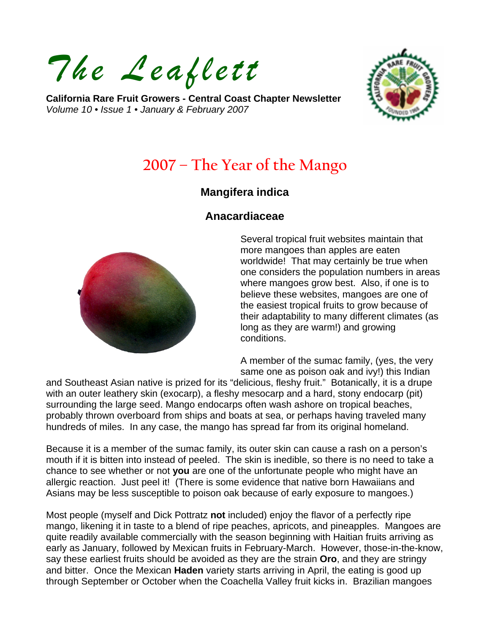*The Leaflett*

**California Rare Fruit Growers - Central Coast Chapter Newsletter**  *Volume 10 • Issue 1 • January & February 2007* 



# **2007 – The Year of the Mango**

#### **Mangifera indica**

#### **Anacardiaceae**



Several tropical fruit websites maintain that more mangoes than apples are eaten worldwide! That may certainly be true when one considers the population numbers in areas where mangoes grow best. Also, if one is to believe these websites, mangoes are one of the easiest tropical fruits to grow because of their adaptability to many different climates (as long as they are warm!) and growing conditions.

A member of the sumac family, (yes, the very same one as poison oak and ivy!) this Indian

and Southeast Asian native is prized for its "delicious, fleshy fruit." Botanically, it is a drupe with an outer leathery skin (exocarp), a fleshy mesocarp and a hard, stony endocarp (pit) surrounding the large seed. Mango endocarps often wash ashore on tropical beaches, probably thrown overboard from ships and boats at sea, or perhaps having traveled many hundreds of miles. In any case, the mango has spread far from its original homeland.

Because it is a member of the sumac family, its outer skin can cause a rash on a person's mouth if it is bitten into instead of peeled. The skin is inedible, so there is no need to take a chance to see whether or not **you** are one of the unfortunate people who might have an allergic reaction. Just peel it! (There is some evidence that native born Hawaiians and Asians may be less susceptible to poison oak because of early exposure to mangoes.)

Most people (myself and Dick Pottratz **not** included) enjoy the flavor of a perfectly ripe mango, likening it in taste to a blend of ripe peaches, apricots, and pineapples. Mangoes are quite readily available commercially with the season beginning with Haitian fruits arriving as early as January, followed by Mexican fruits in February-March. However, those-in-the-know, say these earliest fruits should be avoided as they are the strain **Oro**, and they are stringy and bitter. Once the Mexican **Haden** variety starts arriving in April, the eating is good up through September or October when the Coachella Valley fruit kicks in. Brazilian mangoes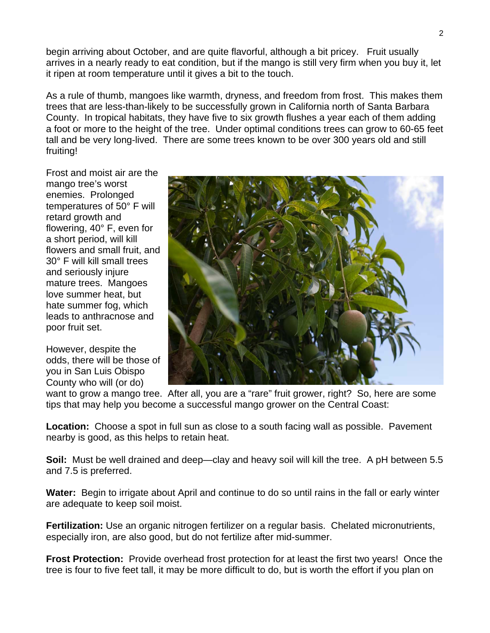begin arriving about October, and are quite flavorful, although a bit pricey. Fruit usually arrives in a nearly ready to eat condition, but if the mango is still very firm when you buy it, let it ripen at room temperature until it gives a bit to the touch.

As a rule of thumb, mangoes like warmth, dryness, and freedom from frost. This makes them trees that are less-than-likely to be successfully grown in California north of Santa Barbara County. In tropical habitats, they have five to six growth flushes a year each of them adding a foot or more to the height of the tree. Under optimal conditions trees can grow to 60-65 feet tall and be very long-lived. There are some trees known to be over 300 years old and still fruiting!

Frost and moist air are the mango tree's worst enemies. Prolonged temperatures of 50° F will retard growth and flowering, 40° F, even for a short period, will kill flowers and small fruit, and 30° F will kill small trees and seriously injure mature trees. Mangoes love summer heat, but hate summer fog, which leads to anthracnose and poor fruit set.

However, despite the odds, there will be those of you in San Luis Obispo County who will (or do)



want to grow a mango tree. After all, you are a "rare" fruit grower, right? So, here are some tips that may help you become a successful mango grower on the Central Coast:

**Location:** Choose a spot in full sun as close to a south facing wall as possible. Pavement nearby is good, as this helps to retain heat.

**Soil:** Must be well drained and deep—clay and heavy soil will kill the tree. A pH between 5.5 and 7.5 is preferred.

**Water:** Begin to irrigate about April and continue to do so until rains in the fall or early winter are adequate to keep soil moist.

**Fertilization:** Use an organic nitrogen fertilizer on a regular basis. Chelated micronutrients, especially iron, are also good, but do not fertilize after mid-summer.

**Frost Protection:** Provide overhead frost protection for at least the first two years! Once the tree is four to five feet tall, it may be more difficult to do, but is worth the effort if you plan on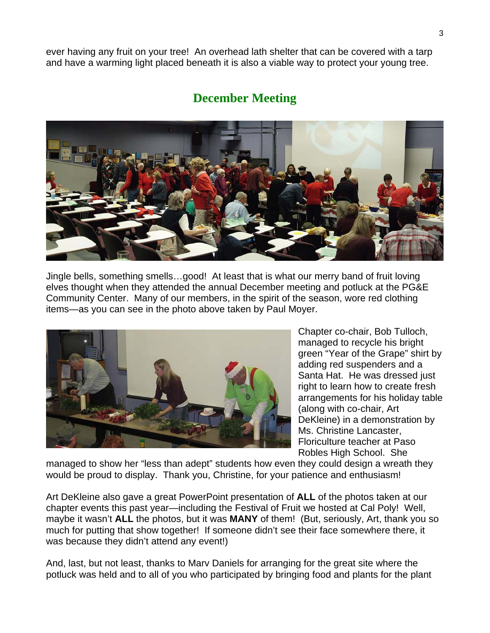ever having any fruit on your tree! An overhead lath shelter that can be covered with a tarp and have a warming light placed beneath it is also a viable way to protect your young tree.

## **December Meeting**



Jingle bells, something smells…good! At least that is what our merry band of fruit loving elves thought when they attended the annual December meeting and potluck at the PG&E Community Center. Many of our members, in the spirit of the season, wore red clothing items—as you can see in the photo above taken by Paul Moyer.



Chapter co-chair, Bob Tulloch, managed to recycle his bright green "Year of the Grape" shirt by adding red suspenders and a Santa Hat. He was dressed just right to learn how to create fresh arrangements for his holiday table (along with co-chair, Art DeKleine) in a demonstration by Ms. Christine Lancaster, Floriculture teacher at Paso Robles High School. She

managed to show her "less than adept" students how even they could design a wreath they would be proud to display. Thank you, Christine, for your patience and enthusiasm!

Art DeKleine also gave a great PowerPoint presentation of **ALL** of the photos taken at our chapter events this past year—including the Festival of Fruit we hosted at Cal Poly! Well, maybe it wasn't **ALL** the photos, but it was **MANY** of them! (But, seriously, Art, thank you so much for putting that show together! If someone didn't see their face somewhere there, it was because they didn't attend any event!)

And, last, but not least, thanks to Marv Daniels for arranging for the great site where the potluck was held and to all of you who participated by bringing food and plants for the plant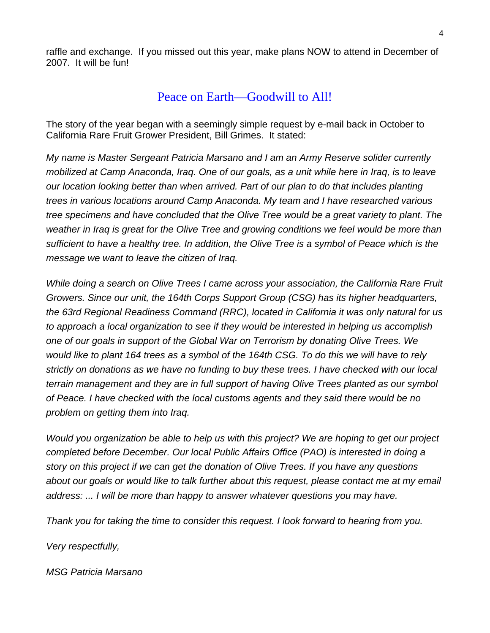raffle and exchange. If you missed out this year, make plans NOW to attend in December of 2007. It will be fun!

### Peace on Earth—Goodwill to All!

The story of the year began with a seemingly simple request by e-mail back in October to California Rare Fruit Grower President, Bill Grimes. It stated:

*My name is Master Sergeant Patricia Marsano and I am an Army Reserve solider currently mobilized at Camp Anaconda, Iraq. One of our goals, as a unit while here in Iraq, is to leave our location looking better than when arrived. Part of our plan to do that includes planting trees in various locations around Camp Anaconda. My team and I have researched various tree specimens and have concluded that the Olive Tree would be a great variety to plant. The weather in Iraq is great for the Olive Tree and growing conditions we feel would be more than sufficient to have a healthy tree. In addition, the Olive Tree is a symbol of Peace which is the message we want to leave the citizen of Iraq.* 

*While doing a search on Olive Trees I came across your association, the California Rare Fruit Growers. Since our unit, the 164th Corps Support Group (CSG) has its higher headquarters, the 63rd Regional Readiness Command (RRC), located in California it was only natural for us to approach a local organization to see if they would be interested in helping us accomplish one of our goals in support of the Global War on Terrorism by donating Olive Trees. We would like to plant 164 trees as a symbol of the 164th CSG. To do this we will have to rely strictly on donations as we have no funding to buy these trees. I have checked with our local terrain management and they are in full support of having Olive Trees planted as our symbol of Peace. I have checked with the local customs agents and they said there would be no problem on getting them into Iraq.* 

*Would you organization be able to help us with this project? We are hoping to get our project completed before December. Our local Public Affairs Office (PAO) is interested in doing a story on this project if we can get the donation of Olive Trees. If you have any questions about our goals or would like to talk further about this request, please contact me at my email address: ... I will be more than happy to answer whatever questions you may have.* 

*Thank you for taking the time to consider this request. I look forward to hearing from you.* 

*Very respectfully,* 

*MSG Patricia Marsano*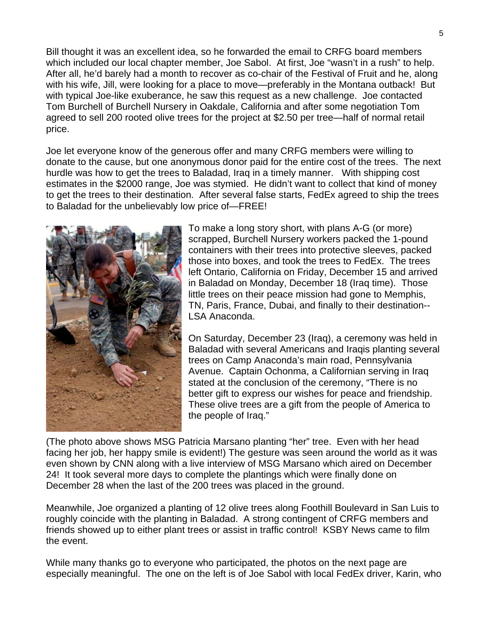Bill thought it was an excellent idea, so he forwarded the email to CRFG board members which included our local chapter member, Joe Sabol. At first, Joe "wasn't in a rush" to help. After all, he'd barely had a month to recover as co-chair of the Festival of Fruit and he, along with his wife, Jill, were looking for a place to move—preferably in the Montana outback! But with typical Joe-like exuberance, he saw this request as a new challenge. Joe contacted Tom Burchell of Burchell Nursery in Oakdale, California and after some negotiation Tom agreed to sell 200 rooted olive trees for the project at \$2.50 per tree—half of normal retail price.

Joe let everyone know of the generous offer and many CRFG members were willing to donate to the cause, but one anonymous donor paid for the entire cost of the trees. The next hurdle was how to get the trees to Baladad, Iraq in a timely manner. With shipping cost estimates in the \$2000 range, Joe was stymied. He didn't want to collect that kind of money to get the trees to their destination. After several false starts, FedEx agreed to ship the trees to Baladad for the unbelievably low price of—FREE!



To make a long story short, with plans A-G (or more) scrapped, Burchell Nursery workers packed the 1-pound containers with their trees into protective sleeves, packed those into boxes, and took the trees to FedEx. The trees left Ontario, California on Friday, December 15 and arrived in Baladad on Monday, December 18 (Iraq time). Those little trees on their peace mission had gone to Memphis, TN, Paris, France, Dubai, and finally to their destination-- LSA Anaconda.

On Saturday, December 23 (Iraq), a ceremony was held in Baladad with several Americans and Iraqis planting several trees on Camp Anaconda's main road, Pennsylvania Avenue. Captain Ochonma, a Californian serving in Iraq stated at the conclusion of the ceremony, "There is no better gift to express our wishes for peace and friendship. These olive trees are a gift from the people of America to the people of Iraq."

(The photo above shows MSG Patricia Marsano planting "her" tree. Even with her head facing her job, her happy smile is evident!) The gesture was seen around the world as it was even shown by CNN along with a live interview of MSG Marsano which aired on December 24! It took several more days to complete the plantings which were finally done on December 28 when the last of the 200 trees was placed in the ground.

Meanwhile, Joe organized a planting of 12 olive trees along Foothill Boulevard in San Luis to roughly coincide with the planting in Baladad. A strong contingent of CRFG members and friends showed up to either plant trees or assist in traffic control! KSBY News came to film the event.

While many thanks go to everyone who participated, the photos on the next page are especially meaningful. The one on the left is of Joe Sabol with local FedEx driver, Karin, who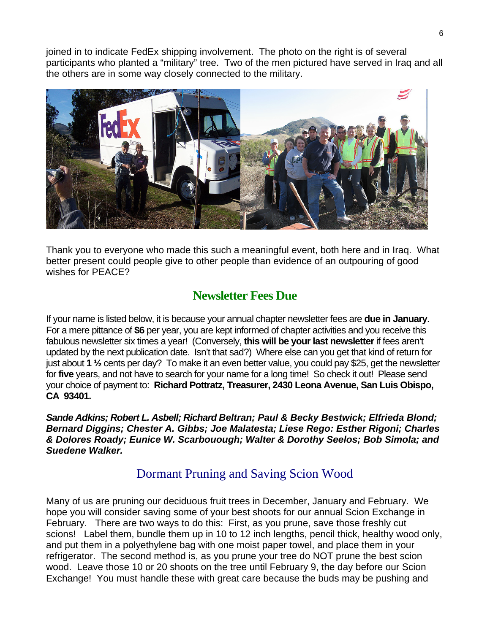joined in to indicate FedEx shipping involvement. The photo on the right is of several participants who planted a "military" tree. Two of the men pictured have served in Iraq and all the others are in some way closely connected to the military.



Thank you to everyone who made this such a meaningful event, both here and in Iraq. What better present could people give to other people than evidence of an outpouring of good wishes for PEACE?

## **Newsletter Fees Due**

If your name is listed below, it is because your annual chapter newsletter fees are **due in January**. For a mere pittance of **\$6** per year, you are kept informed of chapter activities and you receive this fabulous newsletter six times a year! (Conversely, **this will be your last newsletter** if fees aren't updated by the next publication date. Isn't that sad?) Where else can you get that kind of return for just about **1 ½** cents per day? To make it an even better value, you could pay \$25, get the newsletter for **five** years, and not have to search for your name for a long time! So check it out! Please send your choice of payment to: **Richard Pottratz, Treasurer, 2430 Leona Avenue, San Luis Obispo, CA 93401.** 

*Sande Adkins; Robert L. Asbell; Richard Beltran; Paul & Becky Bestwick; Elfrieda Blond; Bernard Diggins; Chester A. Gibbs; Joe Malatesta; Liese Rego: Esther Rigoni; Charles & Dolores Roady; Eunice W. Scarbouough; Walter & Dorothy Seelos; Bob Simola; and Suedene Walker.* 

# Dormant Pruning and Saving Scion Wood

Many of us are pruning our deciduous fruit trees in December, January and February. We hope you will consider saving some of your best shoots for our annual Scion Exchange in February. There are two ways to do this: First, as you prune, save those freshly cut scions! Label them, bundle them up in 10 to 12 inch lengths, pencil thick, healthy wood only, and put them in a polyethylene bag with one moist paper towel, and place them in your refrigerator. The second method is, as you prune your tree do NOT prune the best scion wood. Leave those 10 or 20 shoots on the tree until February 9, the day before our Scion Exchange! You must handle these with great care because the buds may be pushing and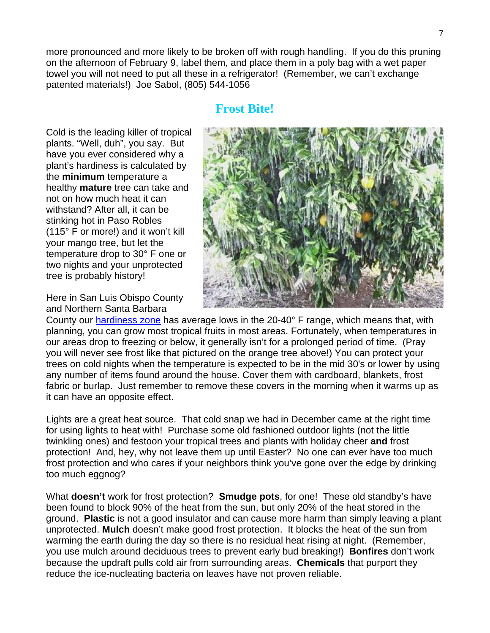more pronounced and more likely to be broken off with rough handling. If you do this pruning on the afternoon of February 9, label them, and place them in a poly bag with a wet paper towel you will not need to put all these in a refrigerator! (Remember, we can't exchange patented materials!) Joe Sabol, (805) 544-1056

#### **Frost Bite!**

Cold is the leading killer of tropical plants. "Well, duh", you say. But have you ever considered why a plant's hardiness is calculated by the **minimum** temperature a healthy **mature** tree can take and not on how much heat it can withstand? After all, it can be stinking hot in Paso Robles (115° F or more!) and it won't kill your mango tree, but let the temperature drop to 30° F one or two nights and your unprotected tree is probably history!

Here in San Luis Obispo County and Northern Santa Barbara



County our [hardiness zone](http://ww4.bhg.com/bhg/category.jhtml;jsessionid=JGTHKAU3KQGXVQFIBQPR42Q?catref=cat170008) has average lows in the 20-40° F range, which means that, with planning, you can grow most tropical fruits in most areas. Fortunately, when temperatures in our areas drop to freezing or below, it generally isn't for a prolonged period of time. (Pray you will never see frost like that pictured on the orange tree above!) You can protect your trees on cold nights when the temperature is expected to be in the mid 30's or lower by using any number of items found around the house. Cover them with cardboard, blankets, frost fabric or burlap. Just remember to remove these covers in the morning when it warms up as it can have an opposite effect.

Lights are a great heat source. That cold snap we had in December came at the right time for using lights to heat with! Purchase some old fashioned outdoor lights (not the little twinkling ones) and festoon your tropical trees and plants with holiday cheer **and** frost protection! And, hey, why not leave them up until Easter? No one can ever have too much frost protection and who cares if your neighbors think you've gone over the edge by drinking too much eggnog?

What **doesn't** work for frost protection? **Smudge pots**, for one! These old standby's have been found to block 90% of the heat from the sun, but only 20% of the heat stored in the ground. **Plastic** is not a good insulator and can cause more harm than simply leaving a plant unprotected. **Mulch** doesn't make good frost protection. It blocks the heat of the sun from warming the earth during the day so there is no residual heat rising at night. (Remember, you use mulch around deciduous trees to prevent early bud breaking!) **Bonfires** don't work because the updraft pulls cold air from surrounding areas. **Chemicals** that purport they reduce the ice-nucleating bacteria on leaves have not proven reliable.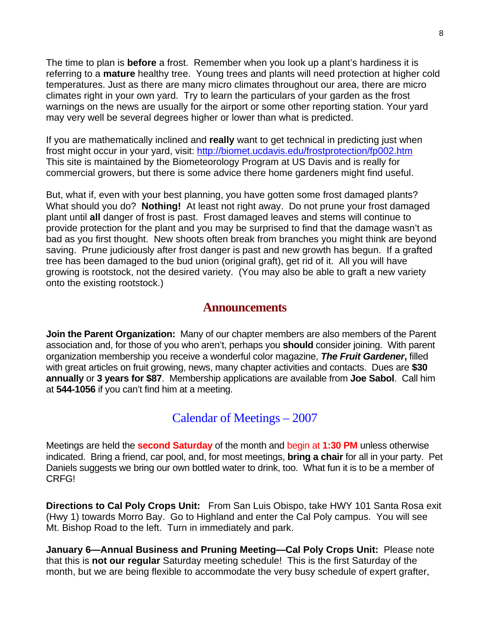The time to plan is **before** a frost. Remember when you look up a plant's hardiness it is referring to a **mature** healthy tree. Young trees and plants will need protection at higher cold temperatures. Just as there are many micro climates throughout our area, there are micro climates right in your own yard. Try to learn the particulars of your garden as the frost warnings on the news are usually for the airport or some other reporting station. Your yard may very well be several degrees higher or lower than what is predicted.

If you are mathematically inclined and **really** want to get technical in predicting just when frost might occur in your yard, visit:<http://biomet.ucdavis.edu/frostprotection/fp002.htm> This site is maintained by the Biometeorology Program at US Davis and is really for commercial growers, but there is some advice there home gardeners might find useful.

But, what if, even with your best planning, you have gotten some frost damaged plants? What should you do? **Nothing!** At least not right away. Do not prune your frost damaged plant until **all** danger of frost is past. Frost damaged leaves and stems will continue to provide protection for the plant and you may be surprised to find that the damage wasn't as bad as you first thought. New shoots often break from branches you might think are beyond saving. Prune judiciously after frost danger is past and new growth has begun. If a grafted tree has been damaged to the bud union (original graft), get rid of it. All you will have growing is rootstock, not the desired variety. (You may also be able to graft a new variety onto the existing rootstock.)

#### **Announcements**

**Join the Parent Organization:** Many of our chapter members are also members of the Parent association and, for those of you who aren't, perhaps you **should** consider joining. With parent organization membership you receive a wonderful color magazine, *The Fruit Gardener***,** filled with great articles on fruit growing, news, many chapter activities and contacts. Dues are **\$30 annually** or **3 years for \$87**. Membership applications are available from **Joe Sabol**. Call him at **544-1056** if you can't find him at a meeting.

### Calendar of Meetings – 2007

Meetings are held the **second Saturday** of the month and begin at **1:30 PM** unless otherwise indicated. Bring a friend, car pool, and, for most meetings, **bring a chair** for all in your party. Pet Daniels suggests we bring our own bottled water to drink, too. What fun it is to be a member of CRFG!

**Directions to Cal Poly Crops Unit:** From San Luis Obispo, take HWY 101 Santa Rosa exit (Hwy 1) towards Morro Bay. Go to Highland and enter the Cal Poly campus. You will see Mt. Bishop Road to the left. Turn in immediately and park.

**January 6—Annual Business and Pruning Meeting—Cal Poly Crops Unit:** Please note that this is **not our regular** Saturday meeting schedule! This is the first Saturday of the month, but we are being flexible to accommodate the very busy schedule of expert grafter,